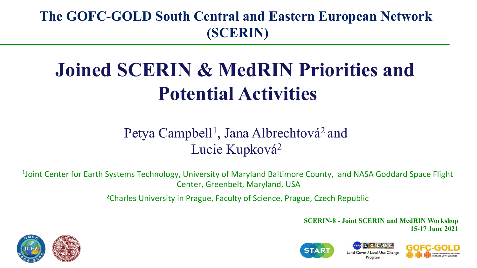#### **The GOFC-GOLD South Central and Eastern European Network (SCERIN)**

# **Joined SCERIN & MedRIN Priorities and Potential Activities**

#### Petya Campbell<sup>1</sup>, Jana Albrechtová<sup>2</sup> and Lucie Kupková<sup>2</sup>

 $1$ Joint Center for Earth Systems Technology, University of Maryland Baltimore County, and NASA Goddard Space Flight Center, Greenbelt, Maryland, USA

<sup>2</sup>Charles University in Prague, Faculty of Science, Prague, Czech Republic

**SCERIN-8 - Joint SCERIN and MedRIN Workshop 15-17 June 2021**



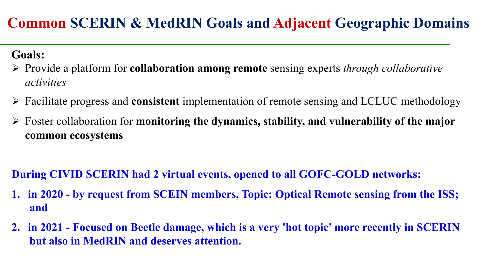### **Common SCERIN & MedRIN Goals and Adjacent Geographic Domains**

#### **Goals:**

- Ø Provide a platform for **collaboration among remote** sensing experts *through collaborative activities*
- Ø Facilitate progress and **consistent** implementation of remote sensing and LCLUC methodology
- Ø Foster collaboration for **monitoring the dynamics, stability, and vulnerability of the major common ecosystems**

#### **During CIVID SCERIN had 2 virtual events, opened to all GOFC-GOLD networks:**

- **1. in 2020 by request from SCEIN members, Topic: Optical Remote sensing from the ISS; and**
- **2. in 2021 Focused on Beetle damage, which is a very 'hot topic' more recently in SCERIN but also in MedRIN and deserves attention.**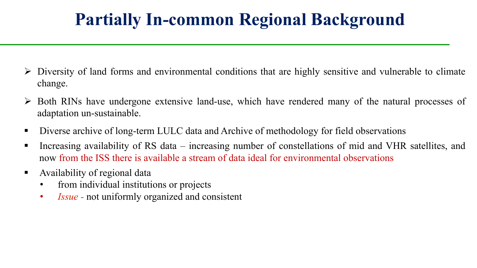## **Partially In-common Regional Background**

- $\triangleright$  Diversity of land forms and environmental conditions that are highly sensitive and vulnerable to climate change.
- $\triangleright$  Both RINs have undergone extensive land-use, which have rendered many of the natural processes of adaptation un-sustainable.
- Diverse archive of long-term LULC data and Archive of methodology for field observations
- Increasing availability of RS data increasing number of constellations of mid and VHR satellites, and now from the ISS there is available a stream of data ideal for environmental observations
- Availability of regional data
	- from individual institutions or projects
	- *Issue* not uniformly organized and consistent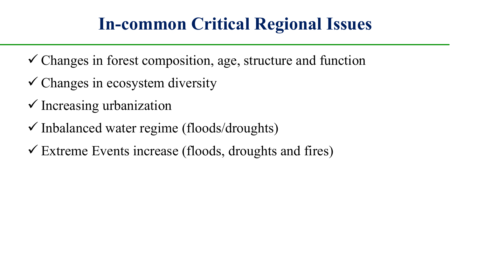## **In-common Critical Regional Issues**

- $\checkmark$  Changes in forest composition, age, structure and function
- $\checkmark$  Changes in ecosystem diversity
- $\checkmark$  Increasing urbanization
- $\checkmark$  Inbalanced water regime (floods/droughts)
- $\checkmark$  Extreme Events increase (floods, droughts and fires)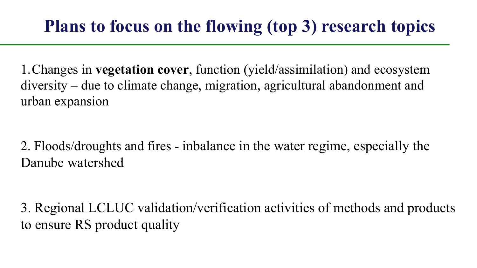## **Plans to focus on the flowing (top 3) research topics**

1.Changes in **vegetation cover**, function (yield/assimilation) and ecosystem diversity – due to climate change, migration, agricultural abandonment and urban expansion

2. Floods/droughts and fires - inbalance in the water regime, especially the Danube watershed

3. Regional LCLUC validation/verification activities of methods and products to ensure RS product quality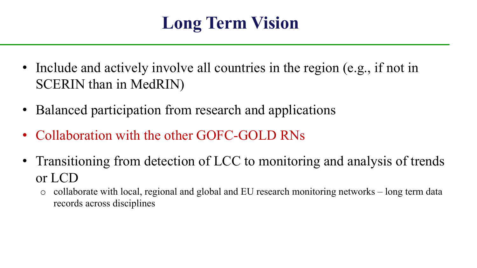# **Long Term Vision**

- Include and actively involve all countries in the region (e.g., if not in SCERIN than in MedRIN)
- Balanced participation from research and applications
- Collaboration with the other GOFC-GOLD RNs
- Transitioning from detection of LCC to monitoring and analysis of trends or LCD
	- o collaborate with local, regional and global and EU research monitoring networks long term data records across disciplines